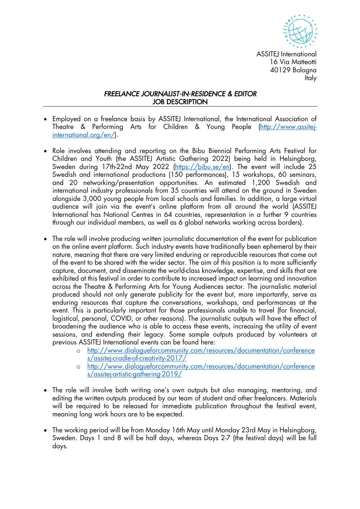

ASSITEI International 16 Via Matteotti 40129 Bologna Italy

## *FREELANCE JOURNALIST-IN-RESIDENCE & EDITOR* JOB DESCRIPTION

- Employed on a freelance basis by ASSITEJ International, the International Association of Theatre & Performing Arts for Children & Young People (http://www.assitejinternational.org/en/).
- Role involves attending and reporting on the Bibu Biennial Performing Arts Festival for Children and Youth (the ASSITEJ Artistic Gathering 2022) being held in Helsingborg, Sweden during 17th-22nd May 2022 (https://bibu.se/en). The event will include 25 Swedish and international productions (150 performances), 15 workshops, 60 seminars, and 20 networking/presentation opportunities. An estimated 1,200 Swedish and international industry professionals from 35 countries will attend on the ground in Sweden alongside 3,000 young people from local schools and families. In addition, a large virtual audience will join via the event's online platform from all around the world (ASSITEJ International has National Centres in 64 countries, representation in a further 9 countries through our individual members, as well as 6 global networks working across borders).
- The role will involve producing written journalistic documentation of the event for publication on the online event platform. Such industry events have traditionally been ephemeral by their nature, meaning that there are very limited enduring or reproducible resources that come out of the event to be shared with the wider sector. The aim of this position is to more sufficiently capture, document, and disseminate the world-class knowledge, expertise, and skills that are exhibited at this festival in order to contribute to increased impact on learning and innovation across the Theatre & Performing Arts for Young Audiences sector. The journalistic material produced should not only generate publicity for the event but, more importantly, serve as enduring resources that capture the conversations, workshops, and performances at the event. This is particularly important for those professionals unable to travel (for financial, logistical, personal, COVID, or other reasons). The journalistic outputs will have the effect of broadening the audience who is able to access these events, increasing the utility of event sessions, and extending their legacy. Some sample outputs produced by volunteers at previous ASSITEJ International events can be found here:
	- o http://www.dialogueforcommunity.com/resources/documentation/conference s/assitej-cradle-of-creativity-2017/
	- o http://www.dialogueforcommunity.com/resources/documentation/conference s/assitej-artistic-gathering-2019/
- The role will involve both writing one's own outputs but also managing, mentoring, and editing the written outputs produced by our team of student and other freelancers. Materials will be required to be released for immediate publication throughout the festival event, meaning long work hours are to be expected.
- The working period will be from Monday 16th May until Monday 23rd May in Helsingborg, Sweden. Days 1 and 8 will be half days, whereas Days 2-7 (the festival days) will be full days.